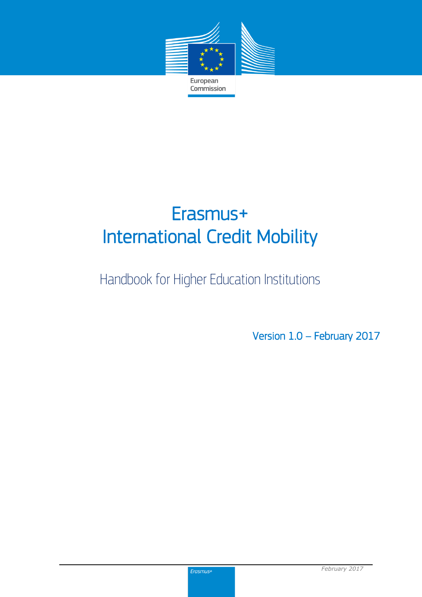

# Erasmus+ International Credit Mobility

## Handbook for Higher Education Institutions

Version 1.0 – February 2017

Erasmus+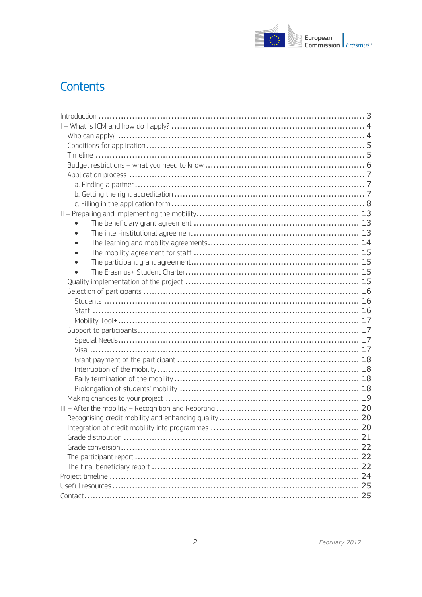

## Contents

| $\bullet$ |  |
|-----------|--|
|           |  |
|           |  |
|           |  |
|           |  |
|           |  |
|           |  |
|           |  |
|           |  |
|           |  |
|           |  |
|           |  |
|           |  |
|           |  |
|           |  |
|           |  |
|           |  |
|           |  |
|           |  |
|           |  |
|           |  |
|           |  |
|           |  |
|           |  |
|           |  |
|           |  |
|           |  |
|           |  |
|           |  |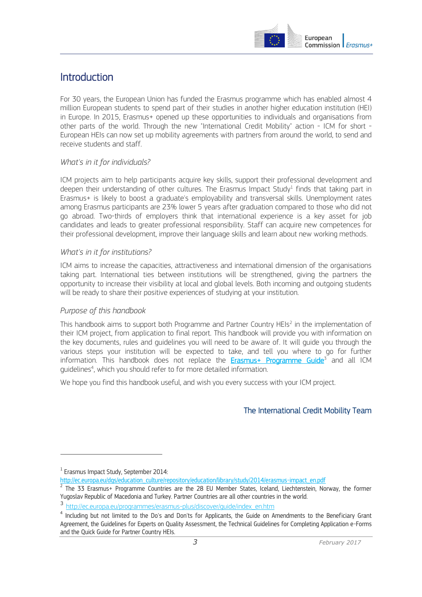

## <span id="page-2-0"></span>Introduction

For 30 years, the European Union has funded the Erasmus programme which has enabled almost 4 million European students to spend part of their studies in another higher education institution (HEI) in Europe. In 2015, Erasmus+ opened up these opportunities to individuals and organisations from other parts of the world. Through the new "International Credit Mobility" action - ICM for short - European HEIs can now set up mobility agreements with partners from around the world, to send and receive students and staff.

#### *What's in it for individuals?*

ICM projects aim to help participants acquire key skills, support their professional development and deepen their understanding of other cultures. The Erasmus Impact Study<sup>1</sup> finds that taking part in Erasmus+ is likely to boost a graduate's employability and transversal skills. Unemployment rates among Erasmus participants are 23% lower 5 years after graduation compared to those who did not go abroad. Two-thirds of employers think that international experience is a key asset for job candidates and leads to greater professional responsibility. Staff can acquire new competences for their professional development, improve their language skills and learn about new working methods.

#### *What's in it for institutions?*

ICM aims to increase the capacities, attractiveness and international dimension of the organisations taking part. International ties between institutions will be strengthened, giving the partners the opportunity to increase their visibility at local and global levels. Both incoming and outgoing students will be ready to share their positive experiences of studying at your institution.

#### *Purpose of this handbook*

This handbook aims to support both Programme and Partner Country HEIs<sup>2</sup> in the implementation of their ICM project, from application to final report. This handbook will provide you with information on the key documents, rules and guidelines you will need to be aware of. It will guide you through the various steps your institution will be expected to take, and tell you where to go for further information. This handbook does not replace the **[Erasmus+ Programme Guide](http://ec.europa.eu/programmes/erasmus-plus/discover/guide/index_en.htm)**<sup>3</sup> and all ICM guidelines<sup>4</sup>, which you should refer to for more detailed information.

We hope you find this handbook useful, and wish you every success with your ICM project.

#### The International Credit Mobility Team

 $\overline{a}$ 

<sup>1</sup> Erasmus Impact Study, September 2014:

[http://ec.europa.eu/dgs/education\\_culture/repository/education/library/study/2014/erasmus-impact\\_en.pdf](http://ec.europa.eu/dgs/education_culture/repository/education/library/study/2014/erasmus-impact_en.pdf)

<sup>2</sup> The 33 Erasmus+ Programme Countries are the 28 EU Member States, Iceland, Liechtenstein, Norway, the former Yugoslav Republic of Macedonia and Turkey. Partner Countries are all other countries in the world.

<sup>3</sup> http://ec.europa.eu/programmes/erasmus-plus/discover/guide/index\_en.htm

<sup>&</sup>lt;sup>4</sup> Including but not limited to the Do's and Don'ts for Applicants, the Guide on Amendments to the Beneficiary Grant Agreement, the Guidelines for Experts on Quality Assessment, the Technical Guidelines for Completing Application e-Forms and the Quick Guide for Partner Country HEIs.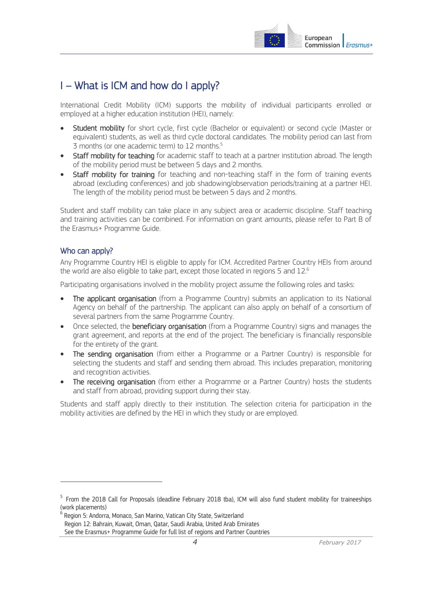

## <span id="page-3-0"></span>I – What is ICM and how do I apply?

International Credit Mobility (ICM) supports the mobility of individual participants enrolled or employed at a higher education institution (HEI), namely:

- Student mobility for short cycle, first cycle (Bachelor or equivalent) or second cycle (Master or equivalent) students, as well as third cycle doctoral candidates. The mobility period can last from 3 months (or one academic term) to 12 months.<sup>5</sup>
- Staff mobility for teaching for academic staff to teach at a partner institution abroad. The length of the mobility period must be between 5 days and 2 months.
- Staff mobility for training for teaching and non-teaching staff in the form of training events abroad (excluding conferences) and job shadowing/observation periods/training at a partner HEI. The length of the mobility period must be between 5 days and 2 months.

Student and staff mobility can take place in any subject area or academic discipline. Staff teaching and training activities can be combined. For information on grant amounts, please refer to Part B of the Erasmus+ Programme Guide.

#### <span id="page-3-1"></span>Who can apply?

-

Any Programme Country HEI is eligible to apply for ICM. Accredited Partner Country HEIs from around the world are also eligible to take part, except those located in regions 5 and 12.<sup>6</sup>

Participating organisations involved in the mobility project assume the following roles and tasks:

- The applicant organisation (from a Programme Country) submits an application to its National Agency on behalf of the partnership. The applicant can also apply on behalf of a consortium of several partners from the same Programme Country.
- Once selected, the **beneficiary organisation** (from a Programme Country) signs and manages the grant agreement, and reports at the end of the project. The beneficiary is financially responsible for the entirety of the grant.
- The sending organisation (from either a Programme or a Partner Country) is responsible for selecting the students and staff and sending them abroad. This includes preparation, monitoring and recognition activities.
- The receiving organisation (from either a Programme or a Partner Country) hosts the students and staff from abroad, providing support during their stay.

Students and staff apply directly to their institution. The selection criteria for participation in the mobility activities are defined by the HEI in which they study or are employed.

Region 12: Bahrain, Kuwait, Oman, Qatar, Saudi Arabia, United Arab Emirates

See the Erasmus+ Programme Guide for full list of regions and Partner Countries

<sup>&</sup>lt;sup>5</sup> From the 2018 Call for Proposals (deadline February 2018 tba), ICM will also fund student mobility for traineeships (work placements)

 $^6$  Region 5: Andorra, Monaco, San Marino, Vatican City State, Switzerland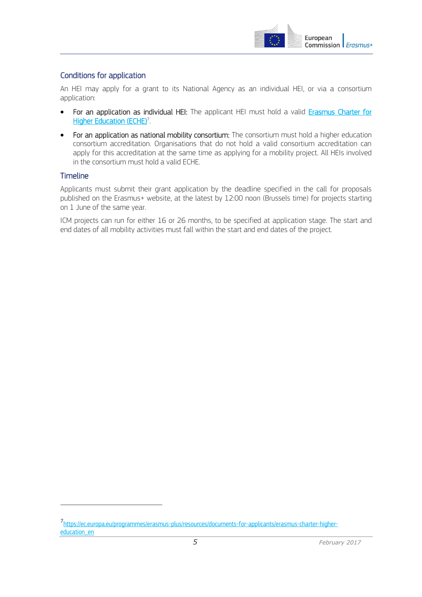

#### <span id="page-4-0"></span>Conditions for application

An HEI may apply for a grant to its National Agency as an individual HEI, or via a consortium application:

- For an application as individual HEI: The applicant HEI must hold a valid **Erasmus Charter for** [Higher Education \(ECHE\)](https://ec.europa.eu/programmes/erasmus-plus/resources/documents-for-applicants/erasmus-charter-higher-education_en)<sup>7</sup>.
- For an application as national mobility consortium: The consortium must hold a higher education consortium accreditation. Organisations that do not hold a valid consortium accreditation can apply for this accreditation at the same time as applying for a mobility project. All HEIs involved in the consortium must hold a valid ECHE.

#### <span id="page-4-1"></span>Timeline

 $\overline{a}$ 

Applicants must submit their grant application by the deadline specified in the call for proposals published on the Erasmus+ website, at the latest by 12:00 noon (Brussels time) for projects starting on 1 June of the same year.

ICM projects can run for either 16 or 26 months, to be specified at application stage. The start and end dates of all mobility activities must fall within the start and end dates of the project.

<sup>7</sup> https://ec.europa.eu/programmes/erasmus-plus/resources/documents-for-applicants/erasmus-charter-highereducation\_en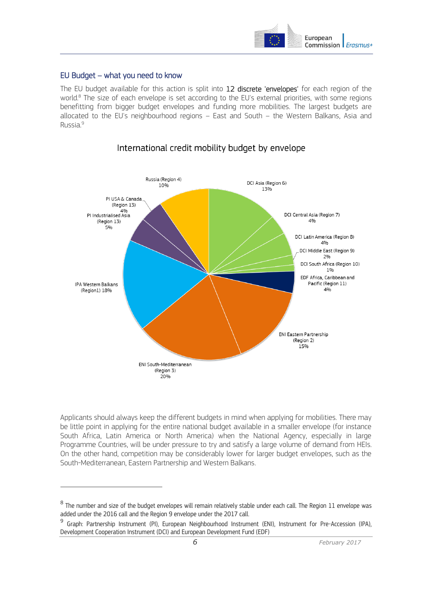

#### <span id="page-5-0"></span>EU Budget – what you need to know

 $\overline{a}$ 

The EU budget available for this action is split into 12 discrete 'envelopes' for each region of the world.<sup>8</sup> The size of each envelope is set according to the EU's external priorities, with some regions benefitting from bigger budget envelopes and funding more mobilities. The largest budgets are allocated to the EU's neighbourhood regions – East and South – the Western Balkans, Asia and Russia. 9



#### International credit mobility budget by envelope

Applicants should always keep the different budgets in mind when applying for mobilities. There may be little point in applying for the entire national budget available in a smaller envelope (for instance South Africa, Latin America or North America) when the National Agency, especially in large Programme Countries, will be under pressure to try and satisfy a large volume of demand from HEIs. On the other hand, competition may be considerably lower for larger budget envelopes, such as the South-Mediterranean, Eastern Partnership and Western Balkans.

 $^8$  The number and size of the budget envelopes will remain relatively stable under each call. The Region 11 envelope was added under the 2016 call and the Region 9 envelope under the 2017 call.

<sup>9</sup> Graph: Partnership Instrument (PI), European Neighbourhood Instrument (ENI), Instrument for Pre-Accession (IPA), Development Cooperation Instrument (DCI) and European Development Fund (EDF)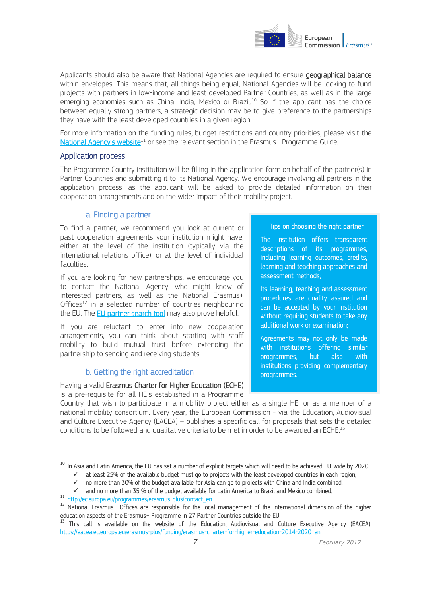

Applicants should also be aware that National Agencies are required to ensure geographical balance within envelopes. This means that, all things being equal, National Agencies will be looking to fund projects with partners in low-income and least developed Partner Countries, as well as in the large emerging economies such as China, India, Mexico or Brazil.<sup>10</sup> So if the applicant has the choice between equally strong partners, a strategic decision may be to give preference to the partnerships they have with the least developed countries in a given region.

For more information on the funding rules, budget restrictions and country priorities, please visit the [National Agency's website](http://ec.europa.eu/programmes/erasmus-plus/contact_en)<sup>11</sup> or see the relevant section in the Erasmus+ Programme Guide.

#### <span id="page-6-0"></span>Application process

The Programme Country institution will be filling in the application form on behalf of the partner(s) in Partner Countries and submitting it to its [National Agency.](http://ec.europa.eu/programmes/erasmus-plus/tools/national-agencies/index_en.htm) We encourage involving all partners in the application process, as the applicant will be asked to provide detailed information on their cooperation arrangements and on the wider impact of their mobility project.

#### a. Finding a partner

<span id="page-6-1"></span>To find a partner, we recommend you look at current or past cooperation agreements your institution might have, either at the level of the institution (typically via the international relations office), or at the level of individual faculties.

If you are looking for new partnerships, we encourage you to contact the National Agency, who might know of interested partners, as well as the National Erasmus+ Offices $12$  in a selected number of countries neighbouring the EU. The **EU partner search tool** may also prove helpful.

If you are reluctant to enter into new cooperation arrangements, you can think about starting with staff mobility to build mutual trust before extending the partnership to sending and receiving students.

#### b. Getting the right accreditation

<span id="page-6-2"></span>Having a valid Erasmus Charter for Higher Education (ECHE) is a pre-requisite for all HEIs established in a Programme

#### Tips on choosing the right partner

The institution offers transparent descriptions of its programmes, including learning outcomes, credits, learning and teaching approaches and assessment methods;

Its learning, teaching and assessment procedures are quality assured and can be accepted by your institution without requiring students to take any additional work or examination;

Agreements may not only be made with institutions offering similar programmes, but also with institutions providing complementary programmes.

Country that wish to participate in a mobility project either as a single HEI or as a member of a national mobility consortium. Every year, the European Commission - via the Education, Audiovisual and Culture Executive Agency (EACEA) – publishes a specific call for proposals that sets the detailed conditions to be followed and qualitative criteria to be met in order to be awarded an ECHE.<sup>13</sup>

 $\overline{a}$ 

<sup>&</sup>lt;sup>10</sup> In Asia and Latin America, the EU has set a number of explicit targets which will need to be achieved EU-wide by 2020:

 $\checkmark$  at least 25% of the available budget must go to projects with the least developed countries in each region;

 $\checkmark$  no more than 30% of the budget available for Asia can go to projects with China and India combined;

 $\checkmark$  and no more than 35 % of the budget available for Latin America to Brazil and Mexico combined.

<sup>11</sup> http://ec.europa.eu/programmes/erasmus-plus/contact\_en

<sup>12</sup> National Erasmus+ Offices are responsible for the local management of the international dimension of the higher education aspects of the Erasmus+ Programme in 27 Partner Countries outside the EU.

<sup>&</sup>lt;sup>13</sup> This call is available on the website of the Education, Audiovisual and Culture Executive Agency (EACEA): [https://eacea.ec.europa.eu/erasmus-plus/funding/erasmus-charter-for-higher-education-2014-2020\\_en](https://eacea.ec.europa.eu/erasmus-plus/funding/erasmus-charter-for-higher-education-2014-2020_en)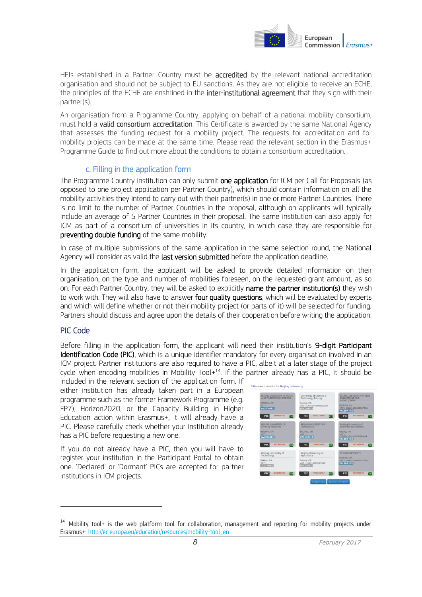

HEIs established in a Partner Country must be **accredited** by the relevant national accreditation organisation and should not be subject to EU sanctions. As they are not eligible to receive an ECHE, the principles of the ECHE are enshrined in the inter-institutional agreement that they sign with their partner(s).

An organisation from a Programme Country, applying on behalf of a national mobility consortium, must hold a **valid consortium accreditation**. This Certificate is awarded by the same National Agency that assesses the funding request for a mobility project. The requests for accreditation and for mobility projects can be made at the same time. Please read the relevant section in the Erasmus+ Programme Guide to find out more about the conditions to obtain a consortium accreditation.

#### c. Filling in the application form

<span id="page-7-0"></span>The Programme Country institution can only submit one application for ICM per Call for Proposals (as opposed to one project application per Partner Country), which should contain information on all the mobility activities they intend to carry out with their partner(s) in one or more Partner Countries. There is no limit to the number of Partner Countries in the proposal, although on applicants will typically include an average of 5 Partner Countries in their proposal. The same institution can also apply for ICM as part of a consortium of universities in its country, in which case they are responsible for preventing double funding of the same mobility.

In case of multiple submissions of the same application in the same selection round, the National Agency will consider as valid the last version submitted before the application deadline.

In the application form, the applicant will be asked to provide detailed information on their organisation, on the type and number of mobilities foreseen, on the requested grant amount, as so on. For each Partner Country, they will be asked to explicitly name the partner institution(s) they wish to work with. They will also have to answer four quality questions, which will be evaluated by experts and which will define whether or not their mobility project (or parts of it) will be selected for funding. Partners should discuss and agree upon the details of their cooperation before writing the application.

#### PIC Code

 $\overline{a}$ 

Before filling in the application form, the applicant will need their institution's 9-digit Participant Identification Code (PIC), which is a unique identifier mandatory for every organisation involved in an ICM project. Partner institutions are also required to have a PIC, albeit at a later stage of the project cycle when encoding mobilities in Mobility Tool $+14$ . If the partner already has a PIC, it should be

included in the relevant section of the application form. If either institution has already taken part in a European programme such as the former Framework Programme (e.g. FP7), Horizon2020, or the Capacity Building in Higher Education action within Erasmus+, it will already have a PIC. Please carefully check whether your institution already has a PIC before requesting a new one.

If you do not already have a PIC, then you will have to register your institution in the Participant Portal to obtain one. 'Declared' or 'Dormant' PICs are accepted for partner institutions in ICM projects.



<sup>&</sup>lt;sup>14</sup> Mobility tool+ is the web platform tool for collaboration, management and reporting for mobility projects under Erasmus+: http://ec.europa.eu/education/resources/mobility-tool\_en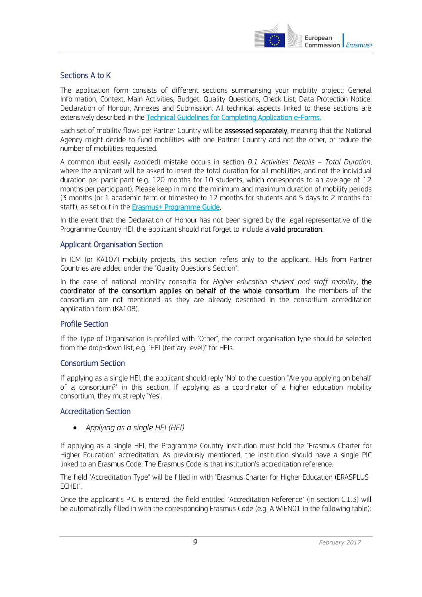

#### Sections A to K

The application form consists of different sections summarising your mobility project: General Information, Context, Main Activities, Budget, Quality Questions, Check List, Data Protection Notice, Declaration of Honour, Annexes and Submission. All technical aspects linked to these sections are extensively described in the [Technical Guidelines for Completing Application e-Forms.](http://ec.europa.eu/programmes/erasmus-plus/resources/documents-for-applicants/model-application-forms_en)

Each set of mobility flows per Partner Country will be assessed separately, meaning that the National Agency might decide to fund mobilities with one Partner Country and not the other, or reduce the number of mobilities requested.

A common (but easily avoided) mistake occurs in section *D.1 Activities' Details – Total Duration*, where the applicant will be asked to insert the total duration for all mobilities, and not the individual duration per participant (e.g. 120 months for 10 students, which corresponds to an average of 12 months per participant). Please keep in mind the minimum and maximum duration of mobility periods (3 months (or 1 academic term or trimester) to 12 months for students and 5 days to 2 months for staff), as set out in the [Erasmus+ Programme Guide.](http://ec.europa.eu/programmes/erasmus-plus/discover/guide/index_en.htm)

In the event that the Declaration of Honour has not been signed by the legal representative of the Programme Country HEI, the applicant should not forget to include a valid procuration.

#### Applicant Organisation Section

In ICM (or KA107) mobility projects, this section refers only to the applicant. HEIs from Partner Countries are added under the "Quality Questions Section".

In the case of national mobility consortia for *Higher education student and staff mobility*, the coordinator of the consortium applies on behalf of the whole consortium. The members of the consortium are not mentioned as they are already described in the consortium accreditation application form (KA108).

#### Profile Section

If the Type of Organisation is prefilled with "Other", the correct organisation type should be selected from the drop-down list, e.g. "HEI (tertiary level)" for HEIs.

#### Consortium Section

If applying as a single HEI, the applicant should reply 'No' to the question "Are you applying on behalf of a consortium?" in this section. If applying as a coordinator of a higher education mobility consortium, they must reply 'Yes'.

#### Accreditation Section

*Applying as a single HEI (HEI)* 

If applying as a single HEI, the Programme Country institution must hold the "Erasmus Charter for Higher Education" accreditation. As previously mentioned, the institution should have a single PIC linked to an Erasmus Code. The Erasmus Code is that institution's accreditation reference.

The field "Accreditation Type" will be filled in with "Erasmus Charter for Higher Education (ERASPLUS-ECHE)".

Once the applicant's PIC is entered, the field entitled "Accreditation Reference" (in section C.1.3) will be automatically filled in with the corresponding Erasmus Code (e.g. A WIEN01 in the following table):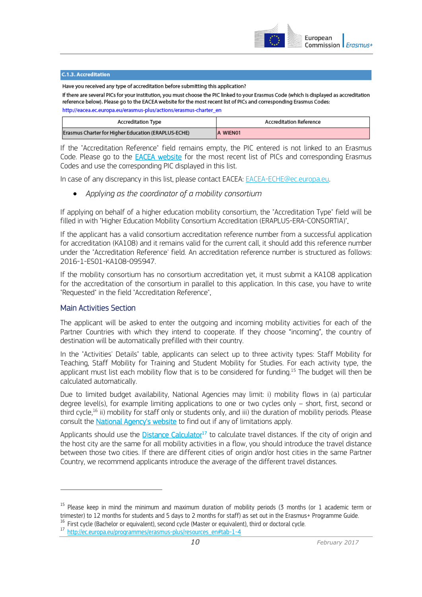

#### C.1.3. Accreditation

Have you received any type of accreditation before submitting this application?

If there are several PICs for your institution, you must choose the PIC linked to your Erasmus Code (which is displayed as accreditation reference below). Please go to the EACEA website for the most recent list of PICs and corresponding Erasmus Codes:

http://eacea.ec.europa.eu/erasmus-plus/actions/erasmus-charter\_en

| <b>Accreditation Type</b>                           | <b>Accreditation Reference</b> |
|-----------------------------------------------------|--------------------------------|
| Erasmus Charter for Higher Education (ERAPLUS-ECHE) | A WIEN01                       |

If the "Accreditation Reference" field remains empty, the PIC entered is not linked to an Erasmus Code. Please go to the **EACEA website** for the most recent list of PICs and corresponding Erasmus Codes and use the corresponding PIC displayed in this list.

In case of any discrepancy in this list, please contact EACEA[: EACEA-ECHE@ec.europa.eu.](mailto:EACEA-ECHE@ec.europa.eu)

*Applying as the coordinator of a mobility consortium* 

If applying on behalf of a higher education mobility consortium, the "Accreditation Type" field will be filled in with "Higher Education Mobility Consortium Accreditation (ERAPLUS-ERA-CONSORTIA)".

If the applicant has a valid consortium accreditation reference number from a successful application for accreditation (KA108) and it remains valid for the current call, it should add this reference number under the "Accreditation Reference' field. An accreditation reference number is structured as follows: 2016-1-ES01-KA108-095947.

If the mobility consortium has no consortium accreditation yet, it must submit a KA108 application for the accreditation of the consortium in parallel to this application. In this case, you have to write "Requested" in the field "Accreditation Reference".

#### Main Activities Section

 $\overline{a}$ 

The applicant will be asked to enter the outgoing and incoming mobility activities for each of the Partner Countries with which they intend to cooperate. If they choose "incoming", the country of destination will be automatically prefilled with their country.

In the "Activities' Details" table, applicants can select up to three activity types: Staff Mobility for Teaching, Staff Mobility for Training and Student Mobility for Studies. For each activity type, the applicant must list each mobility flow that is to be considered for funding.<sup>15</sup> The budget will then be calculated automatically.

Due to limited budget availability, National Agencies may limit: i) mobility flows in (a) particular degree level(s), for example limiting applications to one or two cycles only – short, first, second or third cycle, <sup>16</sup> ii) mobility for staff only or students only, and iii) the duration of mobility periods. Please consult the [National Agency's website](http://ec.europa.eu/programmes/erasmus-plus/tools/national-agencies/index_en.htm) to find out if any of limitations apply.

Applicants should use the [Distance Calculator](http://ec.europa.eu/programmes/erasmus-plus/resources_en#tab-1-4)<sup>17</sup> to calculate travel distances. If the city of origin and the host city are the same for all mobility activities in a flow, you should introduce the travel distance between those two cities. If there are different cities of origin and/or host cities in the same Partner Country, we recommend applicants introduce the average of the different travel distances.

<sup>&</sup>lt;sup>15</sup> Please keep in mind the minimum and maximum duration of mobility periods (3 months (or 1 academic term or trimester) to 12 months for students and 5 days to 2 months for staff) as set out in the Erasmus+ Programme Guide. <sup>16</sup> First cycle (Bachelor or equivalent), second cycle (Master or equivalent), third or doctoral cycle.

<sup>17</sup> http://ec.europa.eu/programmes/erasmus-plus/resources\_en#tab-1-4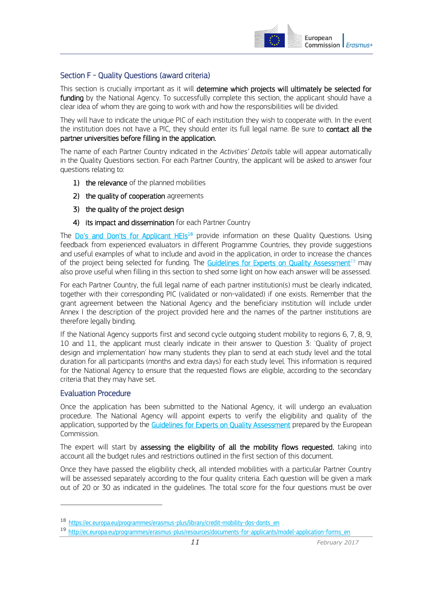

#### Section F - Quality Questions (award criteria)

This section is crucially important as it will determine which projects will ultimately be selected for funding by the National Agency. To successfully complete this section, the applicant should have a clear idea of whom they are going to work with and how the responsibilities will be divided.

They will have to indicate the unique PIC of each institution they wish to cooperate with. In the event the institution does not have a PIC, they should enter its full legal name. Be sure to **contact all the** partner universities before filling in the application.

The name of each Partner Country indicated in the *Activities' Details* table will appear automatically in the Quality Questions section. For each Partner Country, the applicant will be asked to answer four questions relating to:

- 1) the relevance of the planned mobilities
- 2) the quality of cooperation agreements
- 3) the quality of the project design
- 4) its impact and dissemination for each Partner Country

The [Do's and Don'ts for Applicant HEIs](https://ec.europa.eu/programmes/erasmus-plus/library/credit-mobility-dos-donts_en)<sup>18</sup> provide information on these Quality Questions. Using feedback from experienced evaluators in different Programme Countries, they provide suggestions and useful examples of what to include and avoid in the application, in order to increase the chances of the project being selected for funding. The [Guidelines for Experts on Quality Assessment](http://ec.europa.eu/programmes/erasmus-plus/resources/documents-for-applicants/model-application-forms_en)<sup>19</sup> may also prove useful when filling in this section to shed some light on how each answer will be assessed.

For each Partner Country, the full legal name of each partner institution(s) must be clearly indicated, together with their corresponding PIC (validated or non-validated) if one exists. Remember that the grant agreement between the National Agency and the beneficiary institution will include under Annex I the description of the project provided here and the names of the partner institutions are therefore legally binding.

If the National Agency supports first and second cycle outgoing student mobility to regions 6, 7, 8, 9, 10 and 11, the applicant must clearly indicate in their answer to Question 3: 'Quality of project design and implementation' how many students they plan to send at each study level and the total duration for all participants (months and extra days) for each study level. This information is required for the National Agency to ensure that the requested flows are eligible, according to the secondary criteria that they may have set.

#### Evaluation Procedure

 $\overline{a}$ 

Once the application has been submitted to the National Agency, it will undergo an evaluation procedure. The National Agency will appoint experts to verify the eligibility and quality of the application, supported by the [Guidelines for Experts on Quality Assessment](http://ec.europa.eu/programmes/erasmus-plus/resources/documents-for-applicants/model-application-forms_en) prepared by the European Commission.

The expert will start by assessing the eligibility of all the mobility flows requested, taking into account all the budget rules and restrictions outlined in the first section of this document.

Once they have passed the eligibility check, all intended mobilities with a particular Partner Country will be assessed separately according to the four quality criteria. Each question will be given a mark out of 20 or 30 as indicated in the guidelines. The total score for the four questions must be over

<sup>18</sup> https://ec.europa.eu/programmes/erasmus-plus/library/credit-mobility-dos-donts\_en

<sup>19</sup> http://ec.europa.eu/programmes/erasmus-plus/resources/documents-for-applicants/model-application-forms\_en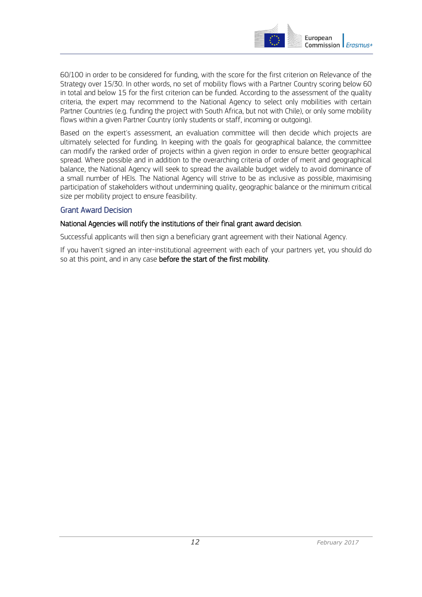

60/100 in order to be considered for funding, with the score for the first criterion on Relevance of the Strategy over 15/30. In other words, no set of mobility flows with a Partner Country scoring below 60 in total and below 15 for the first criterion can be funded. According to the assessment of the quality criteria, the expert may recommend to the National Agency to select only mobilities with certain Partner Countries (e.g. funding the project with South Africa, but not with Chile), or only some mobility flows within a given Partner Country (only students or staff, incoming or outgoing).

Based on the expert's assessment, an evaluation committee will then decide which projects are ultimately selected for funding. In keeping with the goals for geographical balance, the committee can modify the ranked order of projects within a given region in order to ensure better geographical spread. Where possible and in addition to the overarching criteria of order of merit and geographical balance, the National Agency will seek to spread the available budget widely to avoid dominance of a small number of HEIs. The National Agency will strive to be as inclusive as possible, maximising participation of stakeholders without undermining quality, geographic balance or the minimum critical size per mobility project to ensure feasibility.

#### Grant Award Decision

#### National Agencies will notify the institutions of their final grant award decision.

Successful applicants will then sign a beneficiary grant agreement with their National Agency.

If you haven't signed an inter-institutional agreement with each of your partners yet, you should do so at this point, and in any case before the start of the first mobility.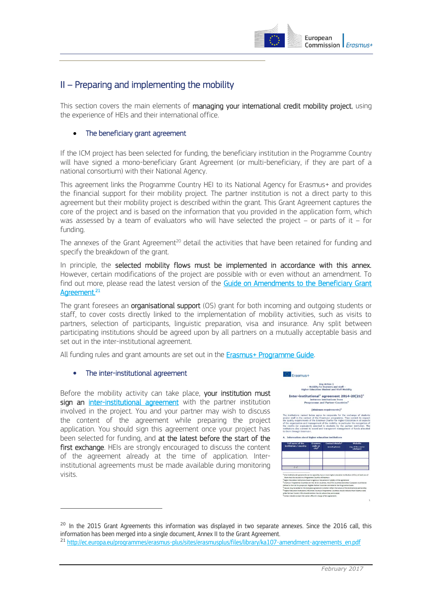

### <span id="page-12-0"></span>II – Preparing and implementing the mobility

<span id="page-12-1"></span>This section covers the main elements of managing your international credit mobility project, using the experience of HEIs and their international office.

#### The beneficiary grant agreement

If the ICM project has been selected for funding, the beneficiary institution in the Programme Country will have signed a mono-beneficiary Grant Agreement (or multi-beneficiary, if they are part of a national consortium) with their National Agency.

This agreement links the Programme Country HEI to its National Agency for Erasmus+ and provides the financial support for their mobility project. The partner institution is not a direct party to this agreement but their mobility project is described within the grant. This Grant Agreement captures the core of the project and is based on the information that you provided in the application form, which was assessed by a team of evaluators who will have selected the project  $-$  or parts of it  $-$  for funding.

The annexes of the Grant Agreement<sup>20</sup> detail the activities that have been retained for funding and specify the breakdown of the grant.

In principle, the selected mobility flows must be implemented in accordance with this annex. However, certain modifications of the project are possible with or even without an amendment. To find out more, please read the latest version of the Guide on Amendments to the Beneficiary Grant [Agreement.](http://ec.europa.eu/programmes/erasmus-plus/sites/erasmusplus/files/library/ka107-amendment-agreements_en.pdf)<sup>21</sup>

The grant foresees an organisational support (OS) grant for both incoming and outgoing students or staff, to cover costs directly linked to the implementation of mobility activities, such as visits to partners, selection of participants, linguistic preparation, visa and insurance. Any split between participating institutions should be agreed upon by all partners on a mutually acceptable basis and set out in the inter-institutional agreement.

<span id="page-12-2"></span>All funding rules and grant amounts are set out in the **Erasmus+ Programme Guide**.

#### • The inter-institutional agreement

 $\overline{a}$ 

Before the mobility activity can take place, your institution must sign an [inter-institutional agreement](http://ec.europa.eu/education/opportunities/higher-education/doc/partner-programme-iia_en.pdf) with the partner institution involved in the project. You and your partner may wish to discuss the content of the agreement while preparing the project application. You should sign this agreement once your project has been selected for funding, and at the latest before the start of the first exchange. HEIs are strongly encouraged to discuss the content of the agreement already at the time of application. Interinstitutional agreements must be made available during monitoring visits.



**Programme and Partner C** 



to cooperat<br>asmus+ prog<br>nus Charter fo<br>of the mobilit



<sup>&</sup>lt;sup>20</sup> In the 2015 Grant Agreements this information was displayed in two separate annexes. Since the 2016 call, this information has been merged into a single document, Annex II to the Grant Agreement.

<sup>&</sup>lt;sup>21</sup> http://ec.europa.eu/programmes/erasmus-plus/sites/erasmusplus/files/library/ka107-amendment-agreements\_en.pdf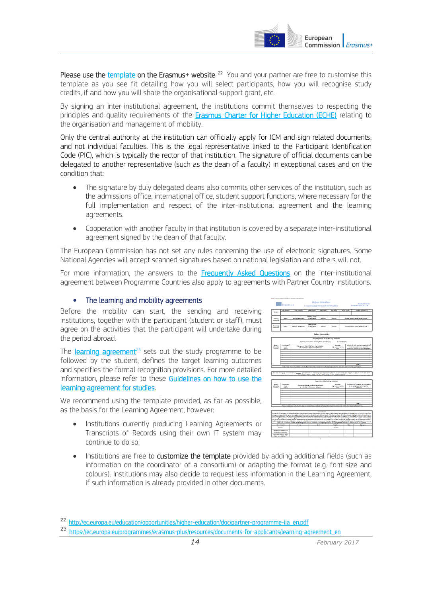

Please use the [template](http://ec.europa.eu/education/opportunities/higher-education/doc/partner-programme-iia_en.pdf) on the Erasmus+ website.<sup>22</sup> You and your partner are free to customise this template as you see fit detailing how you will select participants, how you will recognise study credits, if and how you will share the organisational support grant, etc.

By signing an inter-institutional agreement, the institutions commit themselves to respecting the principles and quality requirements of the [Erasmus Charter for Higher Education \(ECHE\)](http://ec.europa.eu/education/opportunities/higher-education/doc/he-charter_en.pdf) relating to the organisation and management of mobility.

Only the central authority at the institution can officially apply for ICM and sign related documents, and not individual faculties. This is the legal representative linked to the Participant Identification Code (PIC), which is typically the rector of that institution. The signature of official documents can be delegated to another representative (such as the dean of a faculty) in exceptional cases and on the condition that:

- The signature by duly delegated deans also commits other services of the institution, such as the admissions office, international office, student support functions, where necessary for the full implementation and respect of the inter-institutional agreement and the learning agreements.
- Cooperation with another faculty in that institution is covered by a separate inter-institutional agreement signed by the dean of that faculty.

The European Commission has not set any rules concerning the use of electronic signatures. Some National Agencies will accept scanned signatures based on national legislation and others will not.

For more information, the answers to the [Frequently Asked Questions](http://ec.europa.eu/education/opportunities/higher-education/doc/iia-faq_en.pdf) on the inter-institutional agreement between Programme Countries also apply to agreements with Partner Country institutions.

#### <span id="page-13-0"></span>The learning and mobility agreements

 $\overline{a}$ 

Before the mobility can start, the sending and receiving institutions, together with the participant (student or staff), must agree on the activities that the participant will undertake during the period abroad.

The **learning agreement**<sup>23</sup> sets out the study programme to be followed by the student, defines the target learning outcomes and specifies the formal recognition provisions. For more detailed information, please refer to these Guidelines on how to use the [learning agreement for studies.](http://ec.europa.eu/education/opportunities/higher-education/doc/learning-studies-guidelines_en.pdf) 

We recommend using the template provided, as far as possible, as the basis for the Learning Agreement, however:

 Institutions currently producing Learning Agreements or Transcripts of Records using their own IT system may continue to do so.



Institutions are free to customize the template provided by adding additional fields (such as information on the coordinator of a consortium) or adapting the format (e.g. font size and colours). Institutions may also decide to request less information in the Learning Agreement, if such information is already provided in other documents.

<sup>22</sup> http://ec.europa.eu/education/opportunities/higher-education/doc/partner-programme-iia\_en.pdf

<sup>23</sup> https://ec.europa.eu/programmes/erasmus-plus/resources/documents-for-applicants/learning-agreement\_en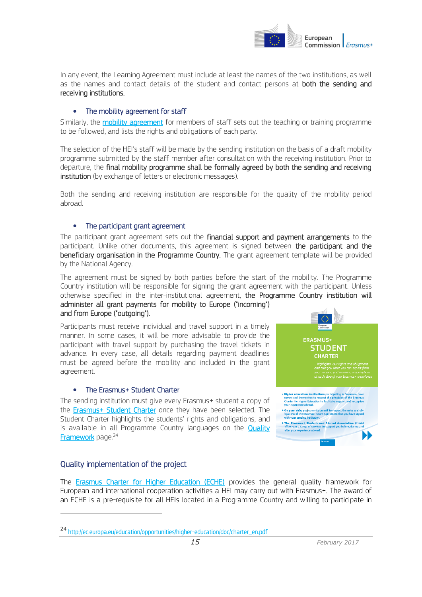

In any event, the Learning Agreement must include at least the names of the two institutions, as well as the names and contact details of the student and contact persons at **both the sending and** receiving institutions.

#### <span id="page-14-0"></span>The mobility agreement for staff

Similarly, the [mobility agreement](https://ec.europa.eu/programmes/erasmus-plus/resources/documents-for-applicants/mobility-agreement_en) for members of staff sets out the teaching or training programme to be followed, and lists the rights and obligations of each party.

The selection of the HEI's staff will be made by the sending institution on the basis of a draft mobility programme submitted by the staff member after consultation with the receiving institution. Prior to departure, the final mobility programme shall be formally agreed by both the sending and receiving institution (by exchange of letters or electronic messages).

Both the sending and receiving institution are responsible for the quality of the mobility period abroad.

#### <span id="page-14-1"></span>• The participant grant agreement

The participant grant agreement sets out the financial support and payment arrangements to the participant. Unlike other documents, this agreement is signed between the participant and the beneficiary organisation in the Programme Country. The grant agreement template will be provided by the National Agency.

The agreement must be signed by both parties before the start of the mobility. The Programme Country institution will be responsible for signing the grant agreement with the participant. Unless otherwise specified in the inter-institutional agreement, the Programme Country institution will administer all grant payments for mobility to Europe ("incoming") and from Europe ("outgoing").

Participants must receive individual and travel support in a timely manner. In some cases, it will be more advisable to provide the participant with travel support by purchasing the travel tickets in advance. In every case, all details regarding payment deadlines must be agreed before the mobility and included in the grant agreement.

#### <span id="page-14-2"></span>The Erasmus+ Student Charter

The sending institution must give every Erasmus+ student a copy of the **Erasmus+ Student Charter** once they have been selected. The Student Charter highlights the students' rights and obligations, and is available in all Programme Country languages on the **Quality [Framework](http://ec.europa.eu/education/opportunities/higher-education/quality-framework_en.htm)** page.<sup>24</sup>



#### <span id="page-14-3"></span>Quality implementation of the project

 $\overline{a}$ 

The [Erasmus Charter for Higher Education \(ECHE\)](http://ec.europa.eu/education/opportunities/higher-education/doc/he-charter_en.pdf) provides the general quality framework for European and international cooperation activities a HEI may carry out with Erasmus+. The award of an ECHE is a pre-requisite for all HEIs located in a Programme Country and willing to participate in

<sup>24</sup> http://ec.europa.eu/education/opportunities/higher-education/doc/charter\_en.pdf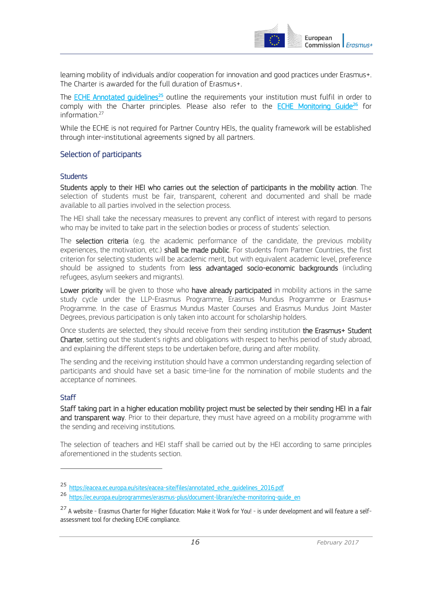

learning mobility of individuals and/or cooperation for innovation and good practices under Erasmus+. The Charter is awarded for the full duration of Erasmus+.

The ECHE Annotated quidelines<sup>25</sup> outline the requirements your institution must fulfil in order to comply with the Charter principles. Please also refer to the [ECHE Monitoring Guide](https://ec.europa.eu/programmes/erasmus-plus/document-library/eche-monitoring-guide_en)<sup>26</sup> for information.<sup>27</sup>

While the ECHE is not required for Partner Country HEIs, the quality framework will be established through inter-institutional agreements signed by all partners.

#### <span id="page-15-0"></span>Selection of participants

#### <span id="page-15-1"></span>**Students**

Students apply to their HEI who carries out the selection of participants in the mobility action. The selection of students must be fair, transparent, coherent and documented and shall be made available to all parties involved in the selection process.

The HEI shall take the necessary measures to prevent any conflict of interest with regard to persons who may be invited to take part in the selection bodies or process of students' selection.

The **selection criteria** (e.g. the academic performance of the candidate, the previous mobility experiences, the motivation, etc.) shall be made public. For students from Partner Countries, the first criterion for selecting students will be academic merit, but with equivalent academic level, preference should be assigned to students from less advantaged socio-economic backgrounds (including refugees, asylum seekers and migrants).

Lower priority will be given to those who have already participated in mobility actions in the same study cycle under the LLP-Erasmus Programme, Erasmus Mundus Programme or Erasmus+ Programme. In the case of Erasmus Mundus Master Courses and Erasmus Mundus Joint Master Degrees, previous participation is only taken into account for scholarship holders.

Once students are selected, they should receive from their sending institution the Erasmus+ Student Charter, setting out the student's rights and obligations with respect to her/his period of study abroad, and explaining the different steps to be undertaken before, during and after mobility.

The sending and the receiving institution should have a common understanding regarding selection of participants and should have set a basic time-line for the nomination of mobile students and the acceptance of nominees.

#### <span id="page-15-2"></span>**Staff**

 $\overline{a}$ 

Staff taking part in a higher education mobility project must be selected by their sending HEI in a fair and transparent way. Prior to their departure, they must have agreed on a mobility programme with the sending and receiving institutions.

The selection of teachers and HEI staff shall be carried out by the HEI according to same principles aforementioned in the students section.

<sup>25</sup> https://eacea.ec.europa.eu/sites/eacea-site/files/annotated\_eche\_guidelines\_2016.pdf

<sup>26</sup> https://ec.europa.eu/programmes/erasmus-plus/document-library/eche-monitoring-guide\_en

<sup>&</sup>lt;sup>27</sup> A website - Erasmus Charter for Higher Education: Make it Work for You! - is under development and will feature a selfassessment tool for checking ECHE compliance.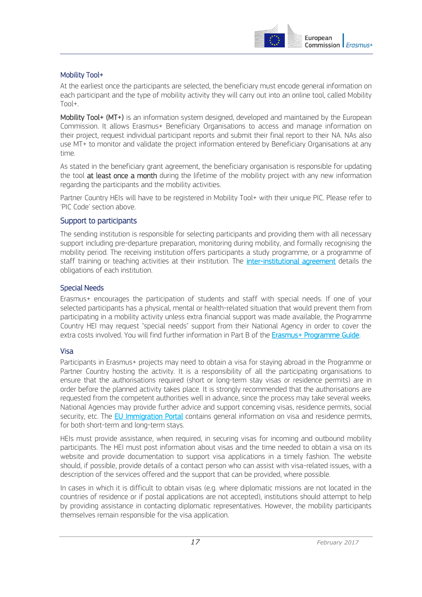

#### <span id="page-16-0"></span>Mobility Tool+

At the earliest once the participants are selected, the beneficiary must encode general information on each participant and the type of mobility activity they will carry out into an online tool, called Mobility Tool+.

Mobility Tool+ (MT+) is an information system designed, developed and maintained by the European Commission. It allows Erasmus+ Beneficiary Organisations to access and manage information on their project, request individual participant reports and submit their final report to their NA. NAs also use MT+ to monitor and validate the project information entered by Beneficiary Organisations at any time.

As stated in the beneficiary grant agreement, the beneficiary organisation is responsible for updating the tool at least once a month during the lifetime of the mobility project with any new information regarding the participants and the mobility activities.

Partner Country HEIs will have to be registered in Mobility Tool+ with their unique PIC. Please refer to 'PIC Code' section above.

#### <span id="page-16-1"></span>Support to participants

The sending institution is responsible for selecting participants and providing them with all necessary support including pre-departure preparation, monitoring during mobility, and formally recognising the mobility period. The receiving institution offers participants a study programme, or a programme of staff training or teaching activities at their institution. The *inter-institutional agreement* details the obligations of each institution.

#### <span id="page-16-2"></span>Special Needs

Erasmus+ encourages the participation of students and staff with special needs. If one of your selected participants has a physical, mental or health-related situation that would prevent them from participating in a mobility activity unless extra financial support was made available, the Programme Country HEI may request "special needs" support from their National Agency in order to cover the extra costs involved. You will find further information in Part B of the [Erasmus+ Programme Guide.](http://ec.europa.eu/programmes/erasmus-plus/discover/guide/index_en.htm)

#### <span id="page-16-3"></span>Visa

Participants in Erasmus+ projects may need to obtain a visa for staying abroad in the Programme or Partner Country hosting the activity. It is a responsibility of all the participating organisations to ensure that the authorisations required (short or long-term stay visas or residence permits) are in order before the planned activity takes place. It is strongly recommended that the authorisations are requested from the competent authorities well in advance, since the process may take several weeks. National Agencies may provide further advice and support concerning visas, residence permits, social security, etc. The [EU Immigration Portal](http://ec.europa.eu/immigration/tab2.do?subSec=11&language=7$en) contains general information on visa and residence permits, for both short-term and long-term stays.

HEIs must provide assistance, when required, in securing visas for incoming and outbound mobility participants. The HEI must post information about visas and the time needed to obtain a visa on its website and provide documentation to support visa applications in a timely fashion. The website should, if possible, provide details of a contact person who can assist with visa-related issues, with a description of the services offered and the support that can be provided, where possible.

In cases in which it is difficult to obtain visas (e.g. where diplomatic missions are not located in the countries of residence or if postal applications are not accepted), institutions should attempt to help by providing assistance in contacting diplomatic representatives. However, the mobility participants themselves remain responsible for the visa application.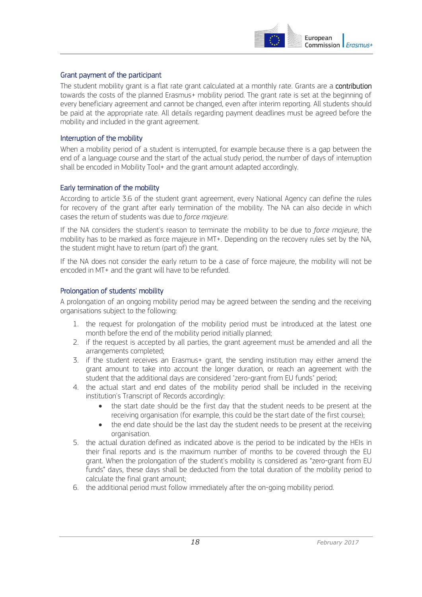

#### <span id="page-17-0"></span>Grant payment of the participant

The student mobility grant is a flat rate grant calculated at a monthly rate. Grants are a contribution towards the costs of the planned Erasmus+ mobility period. The grant rate is set at the beginning of every beneficiary agreement and cannot be changed, even after interim reporting. All students should be paid at the appropriate rate. All details regarding payment deadlines must be agreed before the mobility and included in the grant agreement.

#### <span id="page-17-1"></span>Interruption of the mobility

When a mobility period of a student is interrupted, for example because there is a gap between the end of a language course and the start of the actual study period, the number of days of interruption shall be encoded in Mobility Tool+ and the grant amount adapted accordingly.

#### <span id="page-17-2"></span>Early termination of the mobility

According to article 3.6 of the student grant agreement, every National Agency can define the rules for recovery of the grant after early termination of the mobility. The NA can also decide in which cases the return of students was due to *force majeure*.

If the NA considers the student's reason to terminate the mobility to be due to *force majeure*, the mobility has to be marked as force majeure in MT+. Depending on the recovery rules set by the NA, the student might have to return (part of) the grant.

If the NA does not consider the early return to be a case of force majeure, the mobility will not be encoded in MT+ and the grant will have to be refunded.

#### <span id="page-17-3"></span>Prolongation of students' mobility

A prolongation of an ongoing mobility period may be agreed between the sending and the receiving organisations subject to the following:

- 1. the request for prolongation of the mobility period must be introduced at the latest one month before the end of the mobility period initially planned;
- 2. if the request is accepted by all parties, the grant agreement must be amended and all the arrangements completed;
- 3. if the student receives an Erasmus+ grant, the sending institution may either amend the grant amount to take into account the longer duration, or reach an agreement with the student that the additional days are considered "zero-grant from EU funds" period;
- 4. the actual start and end dates of the mobility period shall be included in the receiving institution's Transcript of Records accordingly:
	- the start date should be the first day that the student needs to be present at the receiving organisation (for example, this could be the start date of the first course);
	- the end date should be the last day the student needs to be present at the receiving organisation.
- 5. the actual duration defined as indicated above is the period to be indicated by the HEIs in their final reports and is the maximum number of months to be covered through the EU grant. When the prolongation of the student's mobility is considered as "zero-grant from EU funds" days, these days shall be deducted from the total duration of the mobility period to calculate the final grant amount;
- 6. the additional period must follow immediately after the on-going mobility period.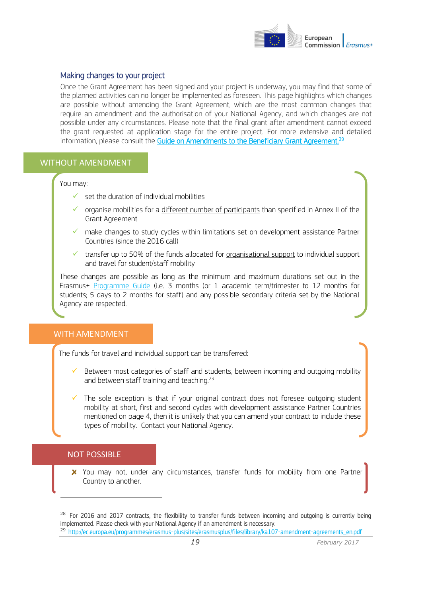

#### <span id="page-18-0"></span>Making changes to your project

Once the Grant Agreement has been signed and your project is underway, you may find that some of the planned activities can no longer be implemented as foreseen. This page highlights which changes are possible without amending the Grant Agreement, which are the most common changes that require an amendment and the authorisation of your National Agency, and which changes are not possible under any circumstances. Please note that the final grant after amendment cannot exceed the grant requested at application stage for the entire project. For more extensive and detailed information, please consult the [Guide on Amendments to the Beneficiary Grant Agreement.](http://ec.europa.eu/programmes/erasmus-plus/sites/erasmusplus/files/library/ka107-amendment-agreements_en.pdf)<sup>29</sup>

#### WITHOUT AMENDMENT

You may:

- $\checkmark$  set the duration of individual mobilities
- $\checkmark$  organise mobilities for a different number of participants than specified in Annex II of the Grant Agreement
- $\checkmark$  make changes to study cycles within limitations set on development assistance Partner Countries (since the 2016 call)
- transfer up to 50% of the funds allocated for organisational support to individual support and travel for student/staff mobility

These changes are possible as long as the minimum and maximum durations set out in the Erasmus+ [Programme Guide](http://ec.europa.eu/programmes/erasmus-plus/discover/guide/index_en.htm)(i.e. 3 months (or 1 academic term/trimester to 12 months for students; 5 days to 2 months for staff) and any possible secondary criteria set by the National Agency are respected.

#### WITH AMENDMENT

The funds for travel and individual support can be transferred:

- Between most categories of staff and students, between incoming and outgoing mobility and between staff training and teaching.<sup>23</sup>
- The sole exception is that if your original contract does not foresee outgoing student mobility at short, first and second cycles with development assistance Partner Countries mentioned on page 4, then it is unlikely that you can amend your contract to include these types of mobility. Contact your National Agency.

#### NOT POSSIBLE

 $\overline{a}$ 

X You may not, under any circumstances, transfer funds for mobility from one Partner Country to another.

<sup>&</sup>lt;sup>28</sup> For 2016 and 2017 contracts, the flexibility to transfer funds between incoming and outgoing is currently being implemented. Please check with your National Agency if an amendment is necessary.

<sup>&</sup>lt;sup>29</sup> http://ec.europa.eu/programmes/erasmus-plus/sites/erasmusplus/files/library/ka107-amendment-agreements\_en.pdf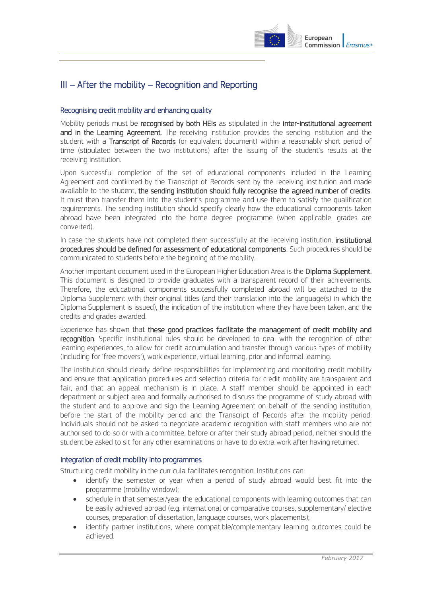

## <span id="page-19-0"></span>III – After the mobility – Recognition and Reporting

#### <span id="page-19-1"></span>Recognising credit mobility and enhancing quality

Mobility periods must be recognised by both HEIs as stipulated in the inter-institutional agreement and in the Learning Agreement. The receiving institution provides the sending institution and the student with a Transcript of Records (or equivalent document) within a reasonably short period of time (stipulated between the two institutions) after the issuing of the student's results at the receiving institution.

Upon successful completion of the set of educational components included in the Learning Agreement and confirmed by the Transcript of Records sent by the receiving institution and made available to the student, the sending institution should fully recognise the agreed number of credits. It must then transfer them into the student's programme and use them to satisfy the qualification requirements. The sending institution should specify clearly how the educational components taken abroad have been integrated into the home degree programme (when applicable, grades are converted).

In case the students have not completed them successfully at the receiving institution, institutional procedures should be defined for assessment of educational components. Such procedures should be communicated to students before the beginning of the mobility.

Another important document used in the European Higher Education Area is the Diploma Supplement. This document is designed to provide graduates with a transparent record of their achievements. Therefore, the educational components successfully completed abroad will be attached to the Diploma Supplement with their original titles (and their translation into the language(s) in which the Diploma Supplement is issued), the indication of the institution where they have been taken, and the credits and grades awarded.

Experience has shown that these good practices facilitate the management of credit mobility and recognition. Specific institutional rules should be developed to deal with the recognition of other learning experiences, to allow for credit accumulation and transfer through various types of mobility (including for 'free movers'), work experience, virtual learning, prior and informal learning.

The institution should clearly define responsibilities for implementing and monitoring credit mobility and ensure that application procedures and selection criteria for credit mobility are transparent and fair, and that an appeal mechanism is in place. A staff member should be appointed in each department or subject area and formally authorised to discuss the programme of study abroad with the student and to approve and sign the Learning Agreement on behalf of the sending institution, before the start of the mobility period and the Transcript of Records after the mobility period. Individuals should not be asked to negotiate academic recognition with staff members who are not authorised to do so or with a committee, before or after their study abroad period, neither should the student be asked to sit for any other examinations or have to do extra work after having returned.

#### <span id="page-19-2"></span>Integration of credit mobility into programmes

Structuring credit mobility in the curricula facilitates recognition. Institutions can:

- identify the semester or year when a period of study abroad would best fit into the programme (mobility window);
- schedule in that semester/year the educational components with learning outcomes that can be easily achieved abroad (e.g. international or comparative courses, supplementary/ elective courses, preparation of dissertation, language courses, work placements);
- identify partner institutions, where compatible/complementary learning outcomes could be achieved.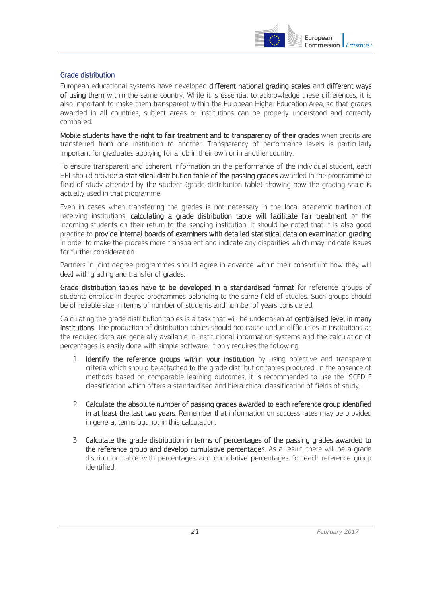

#### <span id="page-20-0"></span>Grade distribution

European educational systems have developed different national grading scales and different ways of using them within the same country. While it is essential to acknowledge these differences, it is also important to make them transparent within the European Higher Education Area, so that grades awarded in all countries, subject areas or institutions can be properly understood and correctly compared.

Mobile students have the right to fair treatment and to transparency of their grades when credits are transferred from one institution to another. Transparency of performance levels is particularly important for graduates applying for a job in their own or in another country.

To ensure transparent and coherent information on the performance of the individual student, each HEI should provide a statistical distribution table of the passing grades awarded in the programme or field of study attended by the student (grade distribution table) showing how the grading scale is actually used in that programme.

Even in cases when transferring the grades is not necessary in the local academic tradition of receiving institutions, calculating a grade distribution table will facilitate fair treatment of the incoming students on their return to the sending institution. It should be noted that it is also good practice to provide internal boards of examiners with detailed statistical data on examination grading in order to make the process more transparent and indicate any disparities which may indicate issues for further consideration.

Partners in joint degree programmes should agree in advance within their consortium how they will deal with grading and transfer of grades.

Grade distribution tables have to be developed in a standardised format for reference groups of students enrolled in degree programmes belonging to the same field of studies. Such groups should be of reliable size in terms of number of students and number of years considered.

Calculating the grade distribution tables is a task that will be undertaken at centralised level in many institutions. The production of distribution tables should not cause undue difficulties in institutions as the required data are generally available in institutional information systems and the calculation of percentages is easily done with simple software. It only requires the following:

- 1. Identify the reference groups within your institution by using objective and transparent criteria which should be attached to the grade distribution tables produced. In the absence of methods based on comparable learning outcomes, it is recommended to use the ISCED-F classification which offers a standardised and hierarchical classification of fields of study.
- 2. Calculate the absolute number of passing grades awarded to each reference group identified in at least the last two years. Remember that information on success rates may be provided in general terms but not in this calculation.
- 3. Calculate the grade distribution in terms of percentages of the passing grades awarded to the reference group and develop cumulative percentages. As a result, there will be a grade distribution table with percentages and cumulative percentages for each reference group identified.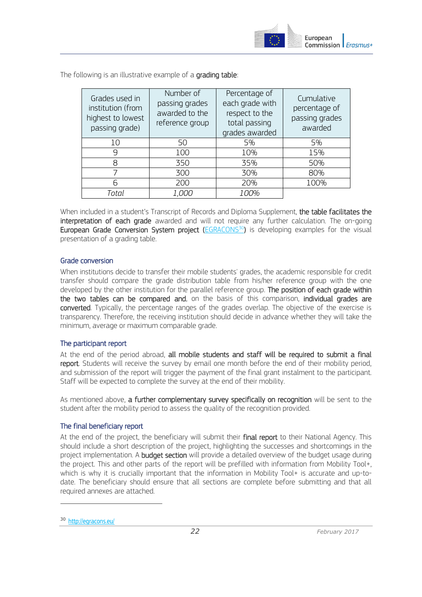

The following is an illustrative example of a grading table:

| Grades used in<br>institution (from<br>highest to lowest<br>passing grade) | Number of<br>passing grades<br>awarded to the<br>reference group | Percentage of<br>each grade with<br>respect to the<br>total passing<br>grades awarded | Cumulative<br>percentage of<br>passing grades<br>awarded |
|----------------------------------------------------------------------------|------------------------------------------------------------------|---------------------------------------------------------------------------------------|----------------------------------------------------------|
| 10                                                                         | 50                                                               | 5%                                                                                    | 5%                                                       |
| 9                                                                          | 100                                                              | 10%                                                                                   | 15%                                                      |
| 8                                                                          | 350                                                              | 35%                                                                                   | 50%                                                      |
|                                                                            | 300                                                              | 30%                                                                                   | 80%                                                      |
| 6                                                                          | 200                                                              | 20%                                                                                   | 100%                                                     |
| Total                                                                      | <i>1,000</i>                                                     | <i>100%</i>                                                                           |                                                          |

When included in a student's Transcript of Records and Diploma Supplement, the table facilitates the interpretation of each grade awarded and will not require any further calculation. The on-going European Grade Conversion System project [\(EGRACONS](http://egracons.eu/)<sup>30</sup>) is developing examples for the visual presentation of a grading table.

#### <span id="page-21-0"></span>Grade conversion

When institutions decide to transfer their mobile students' grades, the academic responsible for credit transfer should compare the grade distribution table from his/her reference group with the one developed by the other institution for the parallel reference group. The position of each grade within the two tables can be compared and, on the basis of this comparison, individual grades are converted. Typically, the percentage ranges of the grades overlap. The objective of the exercise is transparency. Therefore, the receiving institution should decide in advance whether they will take the minimum, average or maximum comparable grade.

#### <span id="page-21-1"></span>The participant report

At the end of the period abroad, all mobile students and staff will be required to submit a final report. Students will receive the survey by email one month before the end of their mobility period, and submission of the report will trigger the payment of the final grant instalment to the participant. Staff will be expected to complete the survey at the end of their mobility.

As mentioned above, a further complementary survey specifically on recognition will be sent to the student after the mobility period to assess the quality of the recognition provided.

#### <span id="page-21-2"></span>The final beneficiary report

At the end of the project, the beneficiary will submit their final report to their National Agency. This should include a short description of the project, highlighting the successes and shortcomings in the project implementation. A **budget section** will provide a detailed overview of the budget usage during the project. This and other parts of the report will be prefilled with information from Mobility Tool+, which is why it is crucially important that the information in Mobility Tool+ is accurate and up-todate. The beneficiary should ensure that all sections are complete before submitting and that all required annexes are attached.

 $\overline{a}$ 

<sup>30</sup> http://egracons.eu/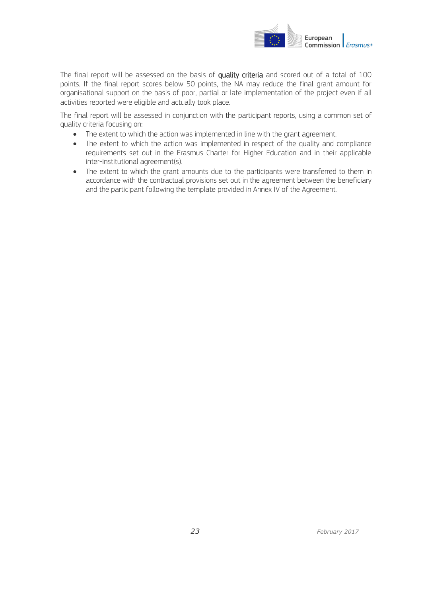

The final report will be assessed on the basis of quality criteria and scored out of a total of 100 points. If the final report scores below 50 points, the NA may reduce the final grant amount for organisational support on the basis of poor, partial or late implementation of the project even if all activities reported were eligible and actually took place.

The final report will be assessed in conjunction with the participant reports, using a common set of quality criteria focusing on:

- The extent to which the action was implemented in line with the grant agreement.
- The extent to which the action was implemented in respect of the quality and compliance requirements set out in the Erasmus Charter for Higher Education and in their applicable inter-institutional agreement(s).
- The extent to which the grant amounts due to the participants were transferred to them in accordance with the contractual provisions set out in the agreement between the beneficiary and the participant following the template provided in Annex IV of the Agreement.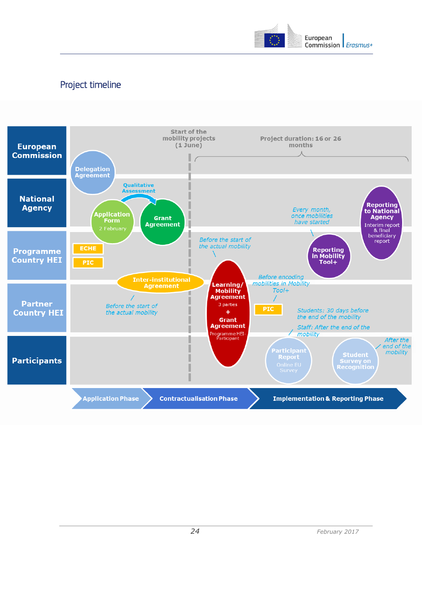

## <span id="page-23-0"></span>Project timeline